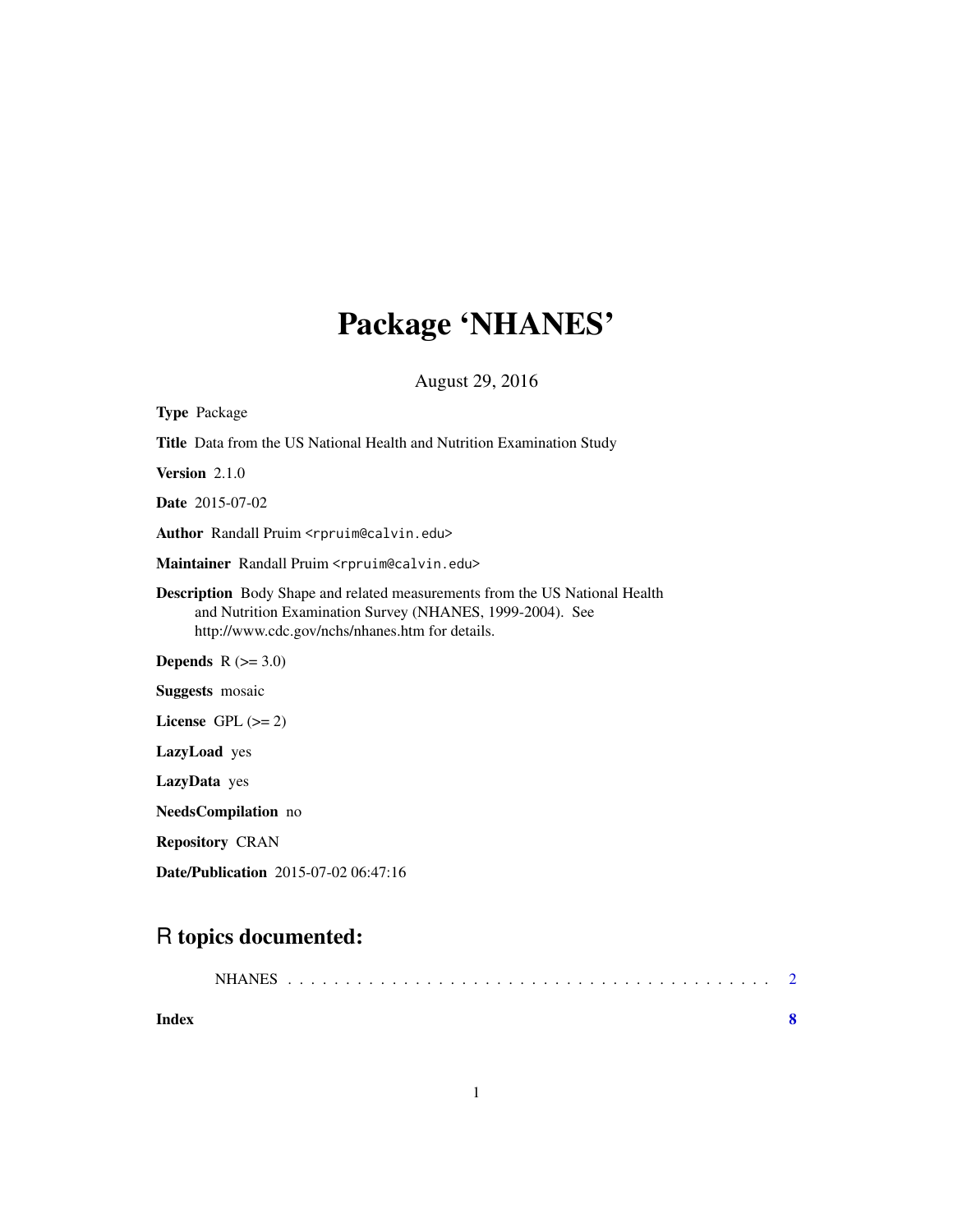## Package 'NHANES'

August 29, 2016

| <b>Type Package</b>                                                                                                                                                                                |
|----------------------------------------------------------------------------------------------------------------------------------------------------------------------------------------------------|
| <b>Title</b> Data from the US National Health and Nutrition Examination Study                                                                                                                      |
| Version $2.1.0$                                                                                                                                                                                    |
| <b>Date</b> 2015-07-02                                                                                                                                                                             |
| Author Randall Pruim <rpruim@calvin.edu></rpruim@calvin.edu>                                                                                                                                       |
| Maintainer Randall Pruim <rpruim@calvin.edu></rpruim@calvin.edu>                                                                                                                                   |
| <b>Description</b> Body Shape and related measurements from the US National Health<br>and Nutrition Examination Survey (NHANES, 1999-2004). See<br>http://www.cdc.gov/nchs/nhanes.htm for details. |
| <b>Depends</b> $R (=3.0)$                                                                                                                                                                          |
| <b>Suggests</b> mosaic                                                                                                                                                                             |
| License GPL $(>= 2)$                                                                                                                                                                               |
| <b>LazyLoad</b> yes                                                                                                                                                                                |
| LazyData yes                                                                                                                                                                                       |
| NeedsCompilation no                                                                                                                                                                                |
| <b>Repository CRAN</b>                                                                                                                                                                             |
|                                                                                                                                                                                                    |

Date/Publication 2015-07-02 06:47:16

### R topics documented:

| Index |  |  |  |  |  |  |  |  |  |  |  |  |  |  |  |  |  |
|-------|--|--|--|--|--|--|--|--|--|--|--|--|--|--|--|--|--|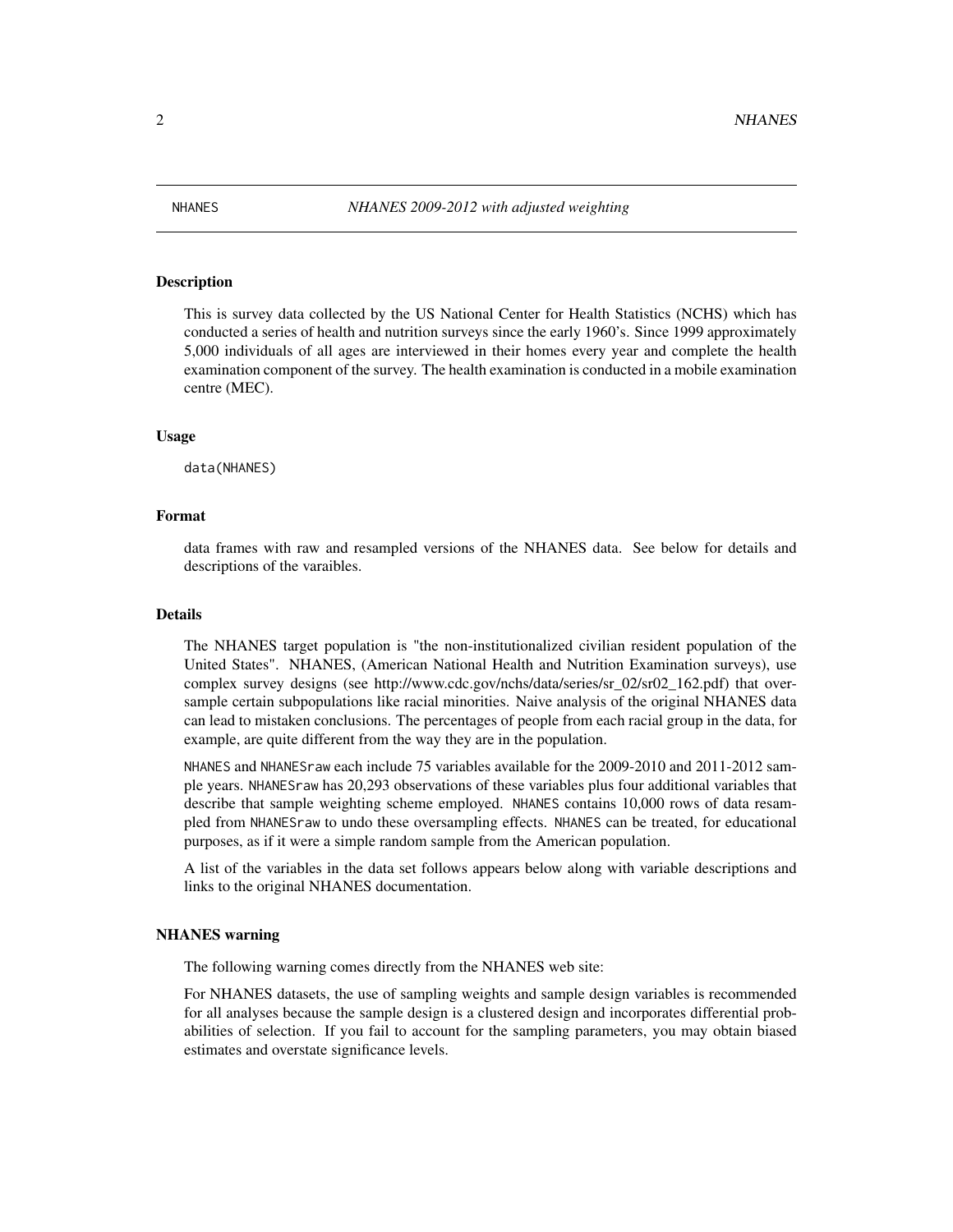<span id="page-1-0"></span>

#### Description

This is survey data collected by the US National Center for Health Statistics (NCHS) which has conducted a series of health and nutrition surveys since the early 1960's. Since 1999 approximately 5,000 individuals of all ages are interviewed in their homes every year and complete the health examination component of the survey. The health examination is conducted in a mobile examination centre (MEC).

#### Usage

data(NHANES)

#### Format

data frames with raw and resampled versions of the NHANES data. See below for details and descriptions of the varaibles.

#### Details

The NHANES target population is "the non-institutionalized civilian resident population of the United States". NHANES, (American National Health and Nutrition Examination surveys), use complex survey designs (see http://www.cdc.gov/nchs/data/series/sr\_02/sr02\_162.pdf) that oversample certain subpopulations like racial minorities. Naive analysis of the original NHANES data can lead to mistaken conclusions. The percentages of people from each racial group in the data, for example, are quite different from the way they are in the population.

NHANES and NHANESraw each include 75 variables available for the 2009-2010 and 2011-2012 sample years. NHANESraw has 20,293 observations of these variables plus four additional variables that describe that sample weighting scheme employed. NHANES contains 10,000 rows of data resampled from NHANESraw to undo these oversampling effects. NHANES can be treated, for educational purposes, as if it were a simple random sample from the American population.

A list of the variables in the data set follows appears below along with variable descriptions and links to the original NHANES documentation.

#### NHANES warning

The following warning comes directly from the NHANES web site:

For NHANES datasets, the use of sampling weights and sample design variables is recommended for all analyses because the sample design is a clustered design and incorporates differential probabilities of selection. If you fail to account for the sampling parameters, you may obtain biased estimates and overstate significance levels.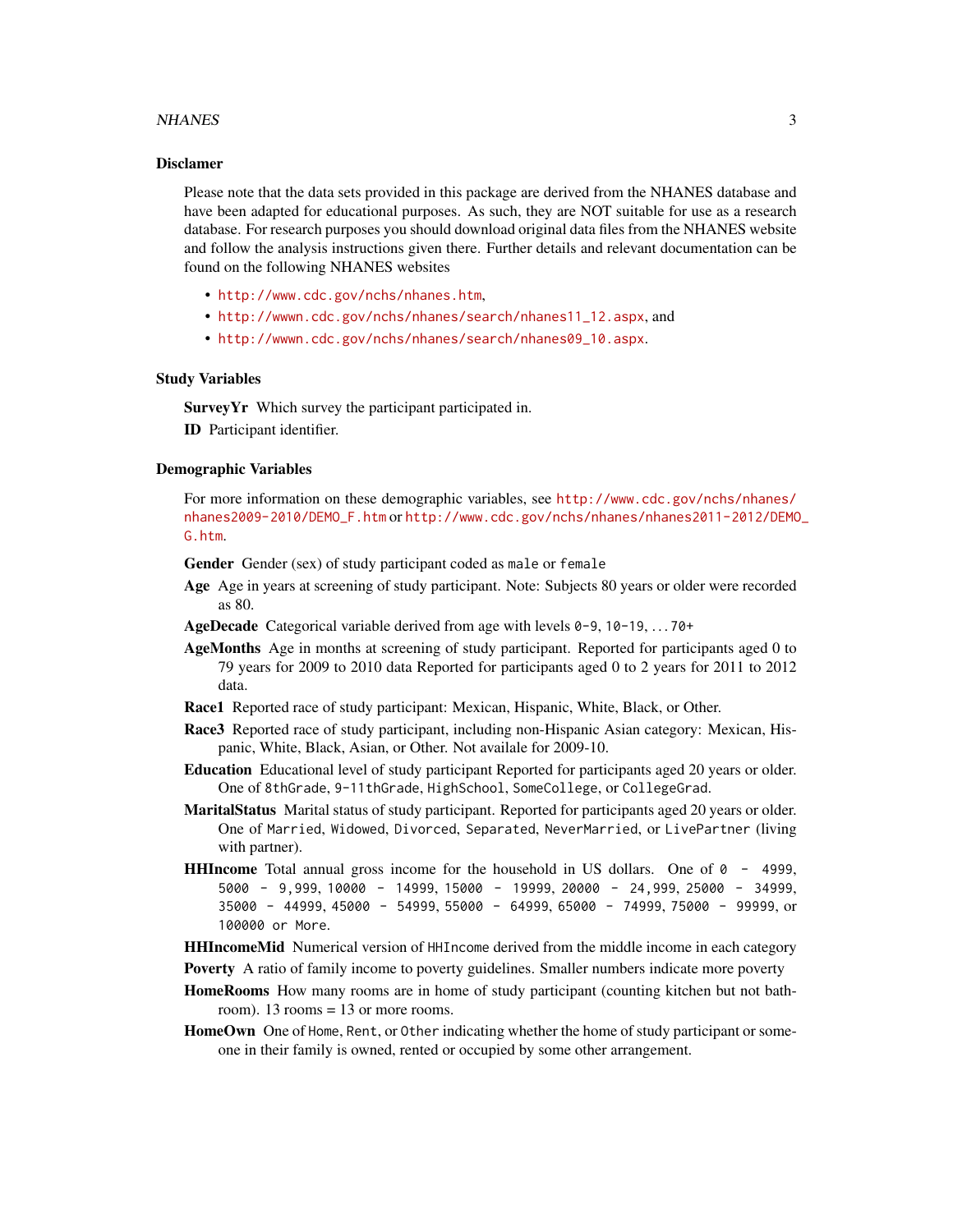#### NHANES 3

#### Disclamer

Please note that the data sets provided in this package are derived from the NHANES database and have been adapted for educational purposes. As such, they are NOT suitable for use as a research database. For research purposes you should download original data files from the NHANES website and follow the analysis instructions given there. Further details and relevant documentation can be found on the following NHANES websites

- <http://www.cdc.gov/nchs/nhanes.htm>,
- [http://wwwn.cdc.gov/nchs/nhanes/search/nhanes11\\_12.aspx](http://wwwn.cdc.gov/nchs/nhanes/search/nhanes11_12.aspx), and
- [http://wwwn.cdc.gov/nchs/nhanes/search/nhanes09\\_10.aspx](http://wwwn.cdc.gov/nchs/nhanes/search/nhanes09_10.aspx).

#### Study Variables

Survey Yr Which survey the participant participated in. ID Participant identifier.

#### Demographic Variables

For more information on these demographic variables, see [http://www.cdc.gov/nchs/nhanes/](http://www.cdc.gov/nchs/nhanes/nhanes2009-2010/DEMO_F.htm) [nhanes2009-2010/DEMO\\_F.htm](http://www.cdc.gov/nchs/nhanes/nhanes2009-2010/DEMO_F.htm) or [http://www.cdc.gov/nchs/nhanes/nhanes2011-2012/DEMO](http://www.cdc.gov/nchs/nhanes/nhanes2011-2012/DEMO_G.htm)\_ [G.htm](http://www.cdc.gov/nchs/nhanes/nhanes2011-2012/DEMO_G.htm).

Gender Gender (sex) of study participant coded as male or female

- Age Age in years at screening of study participant. Note: Subjects 80 years or older were recorded as 80.
- AgeDecade Categorical variable derived from age with levels 0-9, 10-19, . . . 70+
- AgeMonths Age in months at screening of study participant. Reported for participants aged 0 to 79 years for 2009 to 2010 data Reported for participants aged 0 to 2 years for 2011 to 2012 data.
- Race1 Reported race of study participant: Mexican, Hispanic, White, Black, or Other.
- Race3 Reported race of study participant, including non-Hispanic Asian category: Mexican, Hispanic, White, Black, Asian, or Other. Not availale for 2009-10.
- Education Educational level of study participant Reported for participants aged 20 years or older. One of 8thGrade, 9-11thGrade, HighSchool, SomeCollege, or CollegeGrad.
- MaritalStatus Marital status of study participant. Reported for participants aged 20 years or older. One of Married, Widowed, Divorced, Separated, NeverMarried, or LivePartner (living with partner).
- **HHIncome** Total annual gross income for the household in US dollars. One of  $\theta$  4999, 5000 - 9,999, 10000 - 14999, 15000 - 19999, 20000 - 24,999, 25000 - 34999, 35000 - 44999, 45000 - 54999, 55000 - 64999, 65000 - 74999, 75000 - 99999, or 100000 or More.
- HHIncomeMid Numerical version of HHIncome derived from the middle income in each category
- **Poverty** A ratio of family income to poverty guidelines. Smaller numbers indicate more poverty

HomeRooms How many rooms are in home of study participant (counting kitchen but not bathroom).  $13$  rooms =  $13$  or more rooms.

HomeOwn One of Home, Rent, or Other indicating whether the home of study participant or someone in their family is owned, rented or occupied by some other arrangement.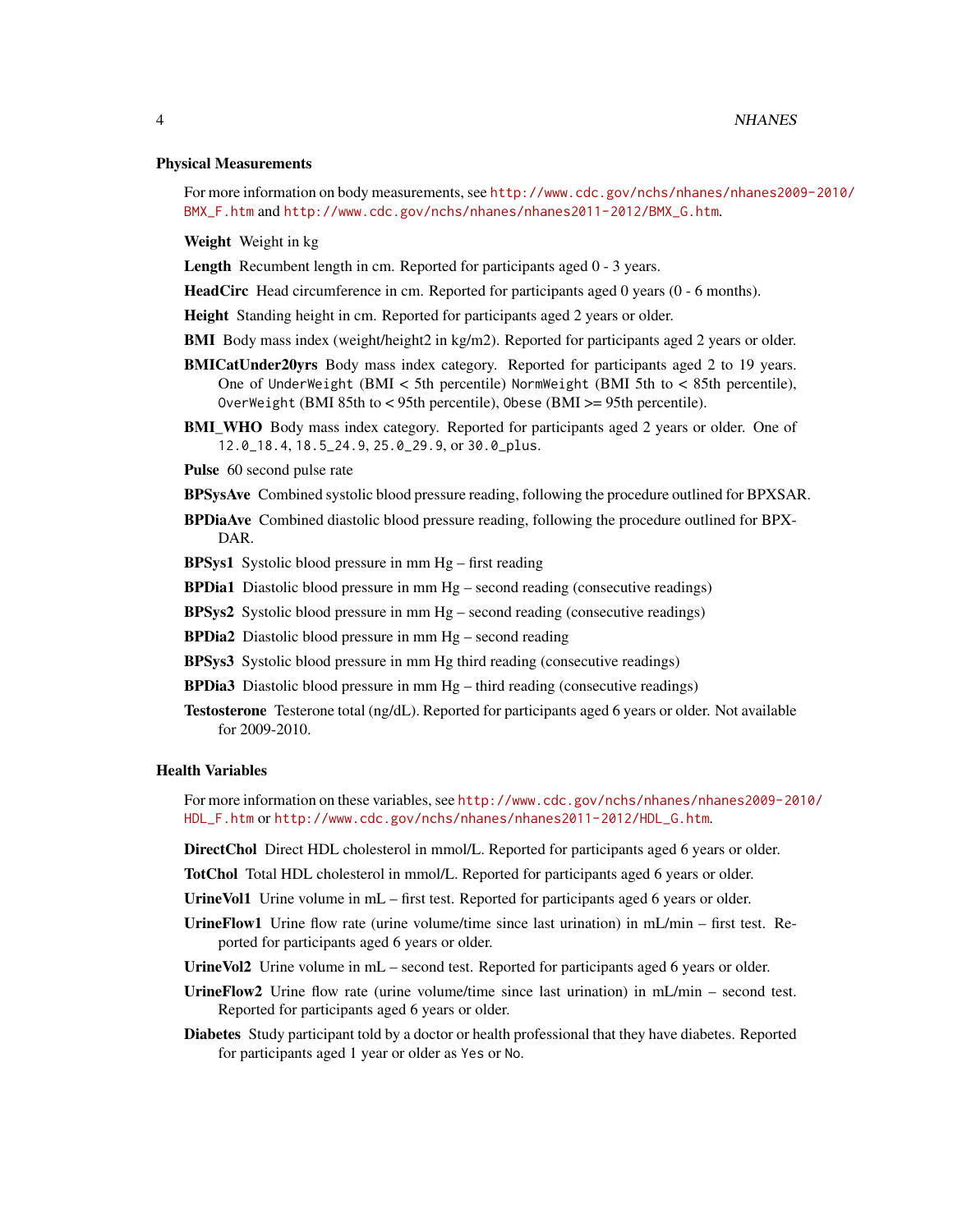#### Physical Measurements

For more information on body measurements, see [http://www.cdc.gov/nchs/nhanes/nhanes200](http://www.cdc.gov/nchs/nhanes/nhanes2009-2010/BMX_F.htm)9-2010/ [BMX\\_F.htm](http://www.cdc.gov/nchs/nhanes/nhanes2009-2010/BMX_F.htm) and [http://www.cdc.gov/nchs/nhanes/nhanes2011-2012/BMX\\_G.htm](http://www.cdc.gov/nchs/nhanes/nhanes2011-2012/BMX_G.htm).

Weight Weight in kg

Length Recumbent length in cm. Reported for participants aged  $0 - 3$  years.

- HeadCirc Head circumference in cm. Reported for participants aged 0 years (0 6 months).
- Height Standing height in cm. Reported for participants aged 2 years or older.
- BMI Body mass index (weight/height2 in kg/m2). Reported for participants aged 2 years or older.
- BMICatUnder20yrs Body mass index category. Reported for participants aged 2 to 19 years. One of UnderWeight (BMI < 5th percentile) NormWeight (BMI 5th to < 85th percentile), OverWeight (BMI 85th to < 95th percentile), Obese (BMI >= 95th percentile).
- BMI\_WHO Body mass index category. Reported for participants aged 2 years or older. One of 12.0\_18.4, 18.5\_24.9, 25.0\_29.9, or 30.0\_plus.
- Pulse 60 second pulse rate
- BPSysAve Combined systolic blood pressure reading, following the procedure outlined for BPXSAR.
- BPDiaAve Combined diastolic blood pressure reading, following the procedure outlined for BPX-DAR.

BPSys1 Systolic blood pressure in mm Hg – first reading

- **BPDia1** Diastolic blood pressure in mm Hg second reading (consecutive readings)
- **BPSys2** Systolic blood pressure in mm  $Hg$  second reading (consecutive readings)
- BPDia2 Diastolic blood pressure in mm Hg second reading
- BPSys3 Systolic blood pressure in mm Hg third reading (consecutive readings)
- **BPDia3** Diastolic blood pressure in mm  $Hg$  third reading (consecutive readings)
- Testosterone Testerone total (ng/dL). Reported for participants aged 6 years or older. Not available for 2009-2010.

#### Health Variables

For more information on these variables, see [http://www.cdc.gov/nchs/nhanes/nhanes2009-20](http://www.cdc.gov/nchs/nhanes/nhanes2009-2010/HDL_F.htm)10/ [HDL\\_F.htm](http://www.cdc.gov/nchs/nhanes/nhanes2009-2010/HDL_F.htm) or [http://www.cdc.gov/nchs/nhanes/nhanes2011-2012/HDL\\_G.htm](http://www.cdc.gov/nchs/nhanes/nhanes2011-2012/HDL_G.htm).

DirectChol Direct HDL cholesterol in mmol/L. Reported for participants aged 6 years or older.

- TotChol Total HDL cholesterol in mmol/L. Reported for participants aged 6 years or older.
- UrineVol1 Urine volume in mL first test. Reported for participants aged 6 years or older.
- UrineFlow1 Urine flow rate (urine volume/time since last urination) in mL/min first test. Reported for participants aged 6 years or older.
- UrineVol2 Urine volume in mL second test. Reported for participants aged 6 years or older.
- UrineFlow2 Urine flow rate (urine volume/time since last urination) in mL/min second test. Reported for participants aged 6 years or older.
- Diabetes Study participant told by a doctor or health professional that they have diabetes. Reported for participants aged 1 year or older as Yes or No.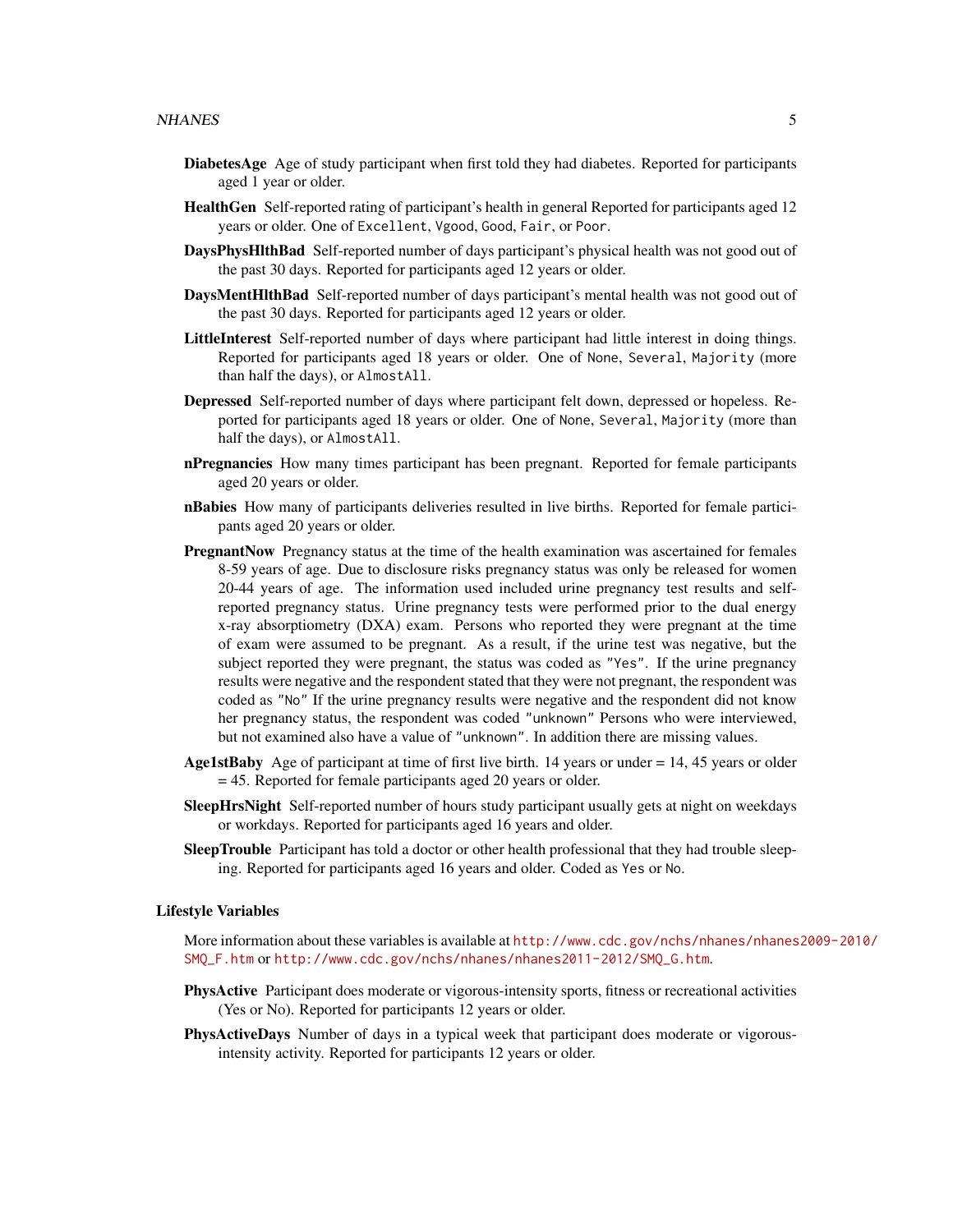- DiabetesAge Age of study participant when first told they had diabetes. Reported for participants aged 1 year or older.
- HealthGen Self-reported rating of participant's health in general Reported for participants aged 12 years or older. One of Excellent, Vgood, Good, Fair, or Poor.
- DaysPhysHlthBad Self-reported number of days participant's physical health was not good out of the past 30 days. Reported for participants aged 12 years or older.
- DaysMentHlthBad Self-reported number of days participant's mental health was not good out of the past 30 days. Reported for participants aged 12 years or older.
- LittleInterest Self-reported number of days where participant had little interest in doing things. Reported for participants aged 18 years or older. One of None, Several, Majority (more than half the days), or AlmostAll.
- Depressed Self-reported number of days where participant felt down, depressed or hopeless. Reported for participants aged 18 years or older. One of None, Several, Majority (more than half the days), or AlmostAll.
- **nPregnancies** How many times participant has been pregnant. Reported for female participants aged 20 years or older.
- **nBabies** How many of participants deliveries resulted in live births. Reported for female participants aged 20 years or older.
- PregnantNow Pregnancy status at the time of the health examination was ascertained for females 8-59 years of age. Due to disclosure risks pregnancy status was only be released for women 20-44 years of age. The information used included urine pregnancy test results and selfreported pregnancy status. Urine pregnancy tests were performed prior to the dual energy x-ray absorptiometry (DXA) exam. Persons who reported they were pregnant at the time of exam were assumed to be pregnant. As a result, if the urine test was negative, but the subject reported they were pregnant, the status was coded as "Yes". If the urine pregnancy results were negative and the respondent stated that they were not pregnant, the respondent was coded as "No" If the urine pregnancy results were negative and the respondent did not know her pregnancy status, the respondent was coded "unknown" Persons who were interviewed, but not examined also have a value of "unknown". In addition there are missing values.
- **Age1stBaby** Age of participant at time of first live birth. 14 years or under  $= 14, 45$  years or older = 45. Reported for female participants aged 20 years or older.
- SleepHrsNight Self-reported number of hours study participant usually gets at night on weekdays or workdays. Reported for participants aged 16 years and older.
- SleepTrouble Participant has told a doctor or other health professional that they had trouble sleeping. Reported for participants aged 16 years and older. Coded as Yes or No.

#### Lifestyle Variables

More information about these variables is available at [http://www.cdc.gov/nchs/nhanes/nhanes](http://www.cdc.gov/nchs/nhanes/nhanes2009-2010/SMQ_F.htm)2009-2010/ [SMQ\\_F.htm](http://www.cdc.gov/nchs/nhanes/nhanes2009-2010/SMQ_F.htm) or [http://www.cdc.gov/nchs/nhanes/nhanes2011-2012/SMQ\\_G.htm](http://www.cdc.gov/nchs/nhanes/nhanes2011-2012/SMQ_G.htm).

- PhysActive Participant does moderate or vigorous-intensity sports, fitness or recreational activities (Yes or No). Reported for participants 12 years or older.
- PhysActiveDays Number of days in a typical week that participant does moderate or vigorousintensity activity. Reported for participants 12 years or older.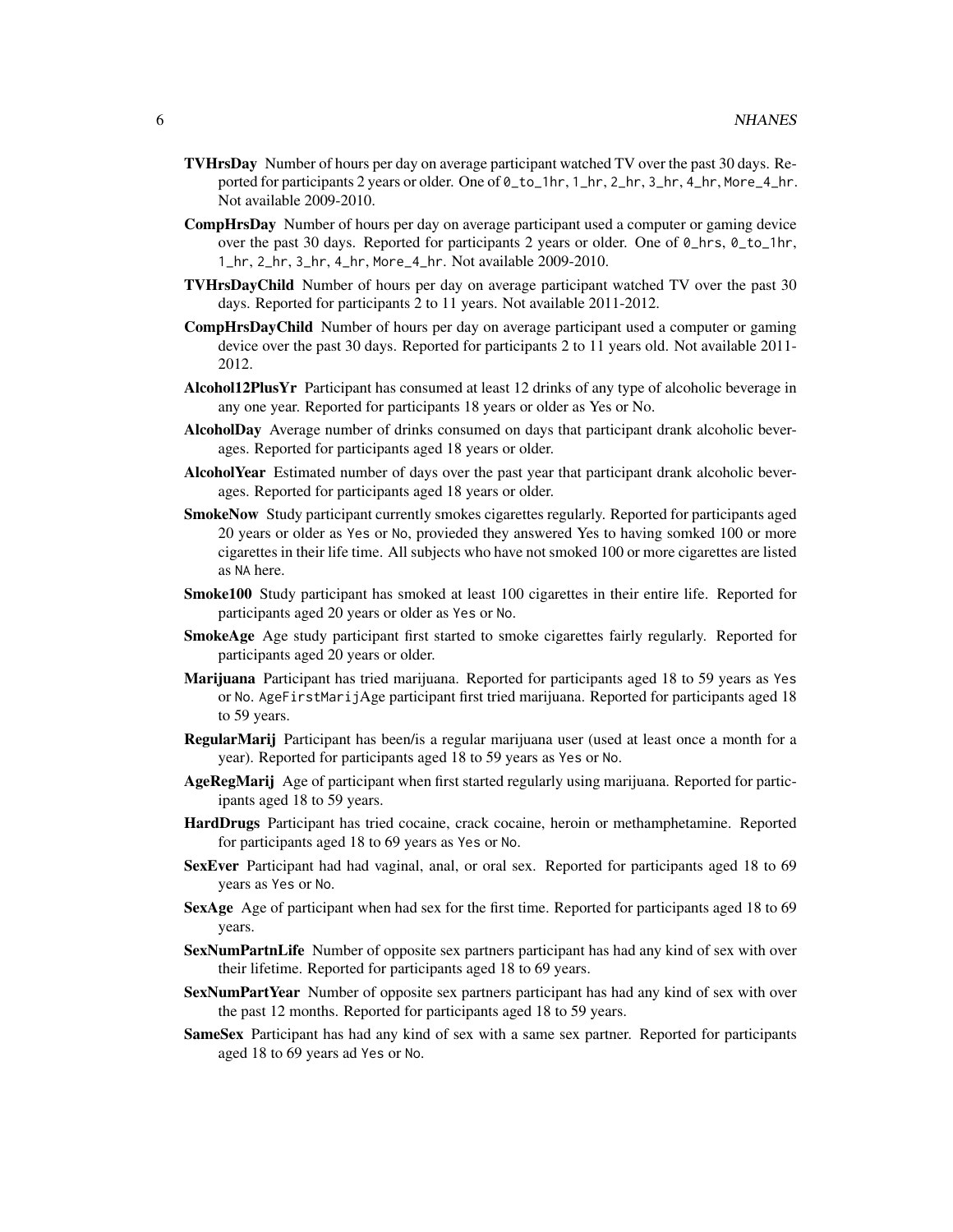- TVHrsDay Number of hours per day on average participant watched TV over the past 30 days. Reported for participants 2 years or older. One of  $\theta$  to  $1$ hr,  $1$ <sub>r</sub>hr,  $2$ <sub>r</sub>hr,  $3$ <sub>r</sub>hr,  $4$ <sub>r</sub>hr, More<sub>1</sub><sub>hr</sub>. Not available 2009-2010.
- CompHrsDay Number of hours per day on average participant used a computer or gaming device over the past 30 days. Reported for participants 2 years or older. One of 0\_hrs, 0\_to\_1hr, 1\_hr, 2\_hr, 3\_hr, 4\_hr, More\_4\_hr. Not available 2009-2010.
- TVHrsDayChild Number of hours per day on average participant watched TV over the past 30 days. Reported for participants 2 to 11 years. Not available 2011-2012.
- CompHrsDayChild Number of hours per day on average participant used a computer or gaming device over the past 30 days. Reported for participants 2 to 11 years old. Not available 2011- 2012.
- Alcohol12PlusYr Participant has consumed at least 12 drinks of any type of alcoholic beverage in any one year. Reported for participants 18 years or older as Yes or No.
- AlcoholDay Average number of drinks consumed on days that participant drank alcoholic beverages. Reported for participants aged 18 years or older.
- AlcoholYear Estimated number of days over the past year that participant drank alcoholic beverages. Reported for participants aged 18 years or older.
- SmokeNow Study participant currently smokes cigarettes regularly. Reported for participants aged 20 years or older as Yes or No, provieded they answered Yes to having somked 100 or more cigarettes in their life time. All subjects who have not smoked 100 or more cigarettes are listed as NA here.
- **Smoke100** Study participant has smoked at least 100 cigarettes in their entire life. Reported for participants aged 20 years or older as Yes or No.
- SmokeAge Age study participant first started to smoke cigarettes fairly regularly. Reported for participants aged 20 years or older.
- Marijuana Participant has tried marijuana. Reported for participants aged 18 to 59 years as Yes or No. AgeFirstMarijAge participant first tried marijuana. Reported for participants aged 18 to 59 years.
- RegularMarij Participant has been/is a regular marijuana user (used at least once a month for a year). Reported for participants aged 18 to 59 years as Yes or No.
- AgeRegMarij Age of participant when first started regularly using marijuana. Reported for participants aged 18 to 59 years.
- HardDrugs Participant has tried cocaine, crack cocaine, heroin or methamphetamine. Reported for participants aged 18 to 69 years as Yes or No.
- SexEver Participant had had vaginal, anal, or oral sex. Reported for participants aged 18 to 69 years as Yes or No.
- SexAge Age of participant when had sex for the first time. Reported for participants aged 18 to 69 years.
- SexNumPartnLife Number of opposite sex partners participant has had any kind of sex with over their lifetime. Reported for participants aged 18 to 69 years.
- SexNumPartYear Number of opposite sex partners participant has had any kind of sex with over the past 12 months. Reported for participants aged 18 to 59 years.
- SameSex Participant has had any kind of sex with a same sex partner. Reported for participants aged 18 to 69 years ad Yes or No.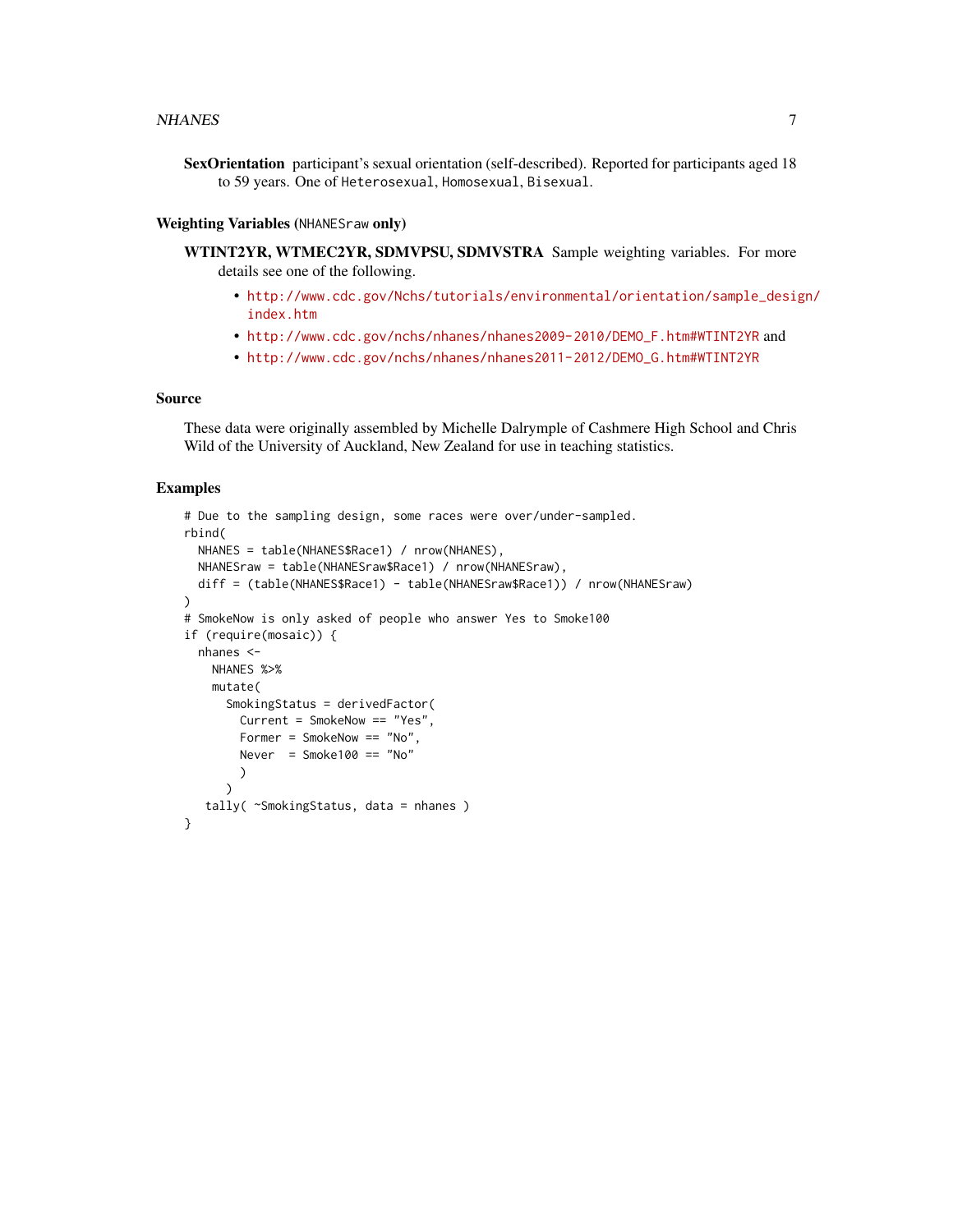SexOrientation participant's sexual orientation (self-described). Reported for participants aged 18 to 59 years. One of Heterosexual, Homosexual, Bisexual.

#### Weighting Variables (NHANESraw only)

WTINT2YR, WTMEC2YR, SDMVPSU, SDMVSTRA Sample weighting variables. For more details see one of the following.

- [http://www.cdc.gov/Nchs/tutorials/environmental/orientation/sample\\_desig](http://www.cdc.gov/Nchs/tutorials/environmental/orientation/sample_design/index.htm)n/ [index.htm](http://www.cdc.gov/Nchs/tutorials/environmental/orientation/sample_design/index.htm)
- [http://www.cdc.gov/nchs/nhanes/nhanes2009-2010/DEMO\\_F.htm#WTINT2YR](http://www.cdc.gov/nchs/nhanes/nhanes2009-2010/DEMO_F.htm#WTINT2YR) and
- [http://www.cdc.gov/nchs/nhanes/nhanes2011-2012/DEMO\\_G.htm#WTINT2YR](http://www.cdc.gov/nchs/nhanes/nhanes2011-2012/DEMO_G.htm#WTINT2YR)

#### Source

These data were originally assembled by Michelle Dalrymple of Cashmere High School and Chris Wild of the University of Auckland, New Zealand for use in teaching statistics.

#### Examples

```
# Due to the sampling design, some races were over/under-sampled.
rbind(
 NHANES = table(NHANES$Race1) / nrow(NHANES),
 NHANESraw = table(NHANESraw$Race1) / nrow(NHANESraw),
 diff = (table(NHANES$Race1) - table(NHANESraw$Race1)) / nrow(NHANESraw)
)
# SmokeNow is only asked of people who answer Yes to Smoke100
if (require(mosaic)) {
 nhanes <-
   NHANES %>%
   mutate(
     SmokingStatus = derivedFactor(
       Current = SmokeNow == "Yes",
       Former = SmokeNow == "No",
       Never = Smoke100 == "No"
       )
     )
  tally( ~SmokingStatus, data = nhanes )
}
```